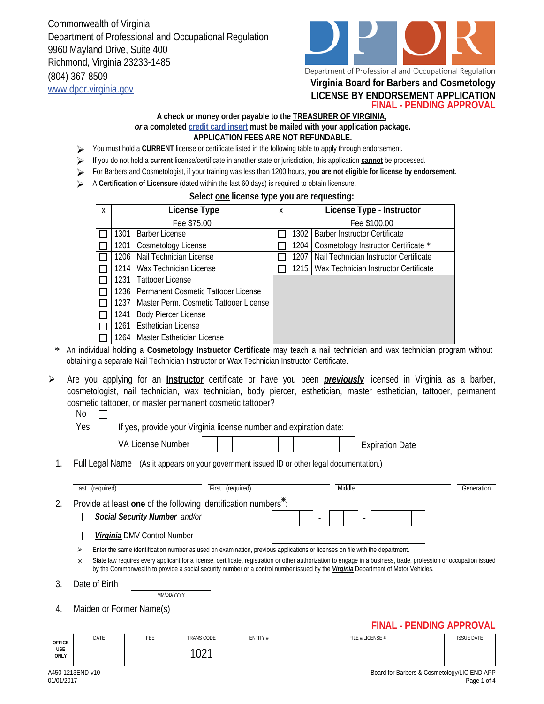Commonwealth of Virginia Department of Professional and Occupational Regulation 9960 Mayland Drive, Suite 400 Richmond, Virginia 23233-1485 (804) 367-8509 www.dpor.virginia.gov **Virginia Board for Barbers and Cosmetology**



Department of Professional and Occupational Regulation

## **LICENSE BY ENDORSEMENT APPLICATION**

**FINAL - PENDING APPROVAL**

## **A check or money order payable to the TREASURER OF VIRGINIA,**  *or* **a completed credit card insert must be mailed with your application package. APPLICATION FEES ARE NOT REFUNDABLE.**

- You must hold a **CURRENT** license or certificate listed in the following table to apply through endorsement.
- If you do not hold a **current** license/certificate in another state or jurisdiction, this application **cannot** be processed.
- For Barbers and Cosmetologist, if your training was less than 1200 hours, **you are not eligible for license by endorsement**.
- A **Certification of Licensure** (dated within the last 60 days) is required to obtain licensure.

## **Select one license type you are requesting:**

| X | License Type |                                            |  | License Type - Instructor |                                        |  |  |  |
|---|--------------|--------------------------------------------|--|---------------------------|----------------------------------------|--|--|--|
|   | Fee \$75.00  |                                            |  | Fee \$100.00              |                                        |  |  |  |
|   | 1301         | <b>Barber License</b>                      |  | 1302                      | <b>Barber Instructor Certificate</b>   |  |  |  |
|   | 1201         | Cosmetology License                        |  | 1204                      | Cosmetology Instructor Certificate *   |  |  |  |
|   | 1206.        | Nail Technician License                    |  | 1207                      | Nail Technician Instructor Certificate |  |  |  |
|   | 1214 I       | Wax Technician License                     |  | $1215$                    | Wax Technician Instructor Certificate  |  |  |  |
|   | 1231         | Tattooer License                           |  |                           |                                        |  |  |  |
|   |              | 1236   Permanent Cosmetic Tattooer License |  |                           |                                        |  |  |  |
|   | 1237         | Master Perm. Cosmetic Tattooer License     |  |                           |                                        |  |  |  |
|   | 1241         | <b>Body Piercer License</b>                |  |                           |                                        |  |  |  |
|   | 1261         | <b>Esthetician License</b>                 |  |                           |                                        |  |  |  |
|   |              | 1264   Master Esthetician License          |  |                           |                                        |  |  |  |

- \* An individual holding a **Cosmetology Instructor Certificate** may teach a nail technician and wax technician program without obtaining a separate Nail Technician Instructor or Wax Technician Instructor Certificate.
- Are you applying for an **Instructor** certificate or have you been *previously* licensed in Virginia as a barber, cosmetologist, nail technician, wax technician, body piercer, esthetician, master esthetician, tattooer, permanent cosmetic tattooer, or master permanent cosmetic tattooer?  $\blacktriangleright$ 
	- No  $\Box$
	- Yes  $\Box$  If yes, provide your Virginia license number and expiration date:

VA License Number Expiration Date

1. Full Legal Name (As it appears on your government issued ID or other legal documentation.)

|    |                                                                                                                                                                                                                                                                                                                                                                                                                                                      | Last (required)                                                             | (required)<br>First |  |  |  |                          |  | Middle |                          |  |  |  | Generation |
|----|------------------------------------------------------------------------------------------------------------------------------------------------------------------------------------------------------------------------------------------------------------------------------------------------------------------------------------------------------------------------------------------------------------------------------------------------------|-----------------------------------------------------------------------------|---------------------|--|--|--|--------------------------|--|--------|--------------------------|--|--|--|------------|
| 2. |                                                                                                                                                                                                                                                                                                                                                                                                                                                      | Provide at least one of the following identification numbers <sup>*</sup> : |                     |  |  |  |                          |  |        |                          |  |  |  |            |
|    |                                                                                                                                                                                                                                                                                                                                                                                                                                                      | Social Security Number and/or                                               |                     |  |  |  | $\overline{\phantom{a}}$ |  |        | $\overline{\phantom{0}}$ |  |  |  |            |
|    |                                                                                                                                                                                                                                                                                                                                                                                                                                                      | Virginia DMV Control Number                                                 |                     |  |  |  |                          |  |        |                          |  |  |  |            |
|    | Enter the same identification number as used on examination, previous applications or licenses on file with the department.<br>⋗<br>State law requires every applicant for a license, certificate, registration or other authorization to engage in a business, trade, profession or occupation issued<br>$\ast$<br>by the Commonwealth to provide a social security number or a control number issued by the Virginia Department of Motor Vehicles. |                                                                             |                     |  |  |  |                          |  |        |                          |  |  |  |            |
|    |                                                                                                                                                                                                                                                                                                                                                                                                                                                      |                                                                             |                     |  |  |  |                          |  |        |                          |  |  |  |            |

3. Date of Birth

MM/DD/YYYY

4. Maiden or Former Name(s)

**FINAL - PENDING APPROVAL**

| <b>OFFICE</b>      | DATE | <b>CCC</b><br>۰EE. | <b>TRANS CODE</b> | ENTITY# | FILE #/LICENSE # | <b>ISSUE DATE</b> |
|--------------------|------|--------------------|-------------------|---------|------------------|-------------------|
| <b>USE</b><br>ONLY |      |                    | 1001<br>◡∠        |         |                  |                   |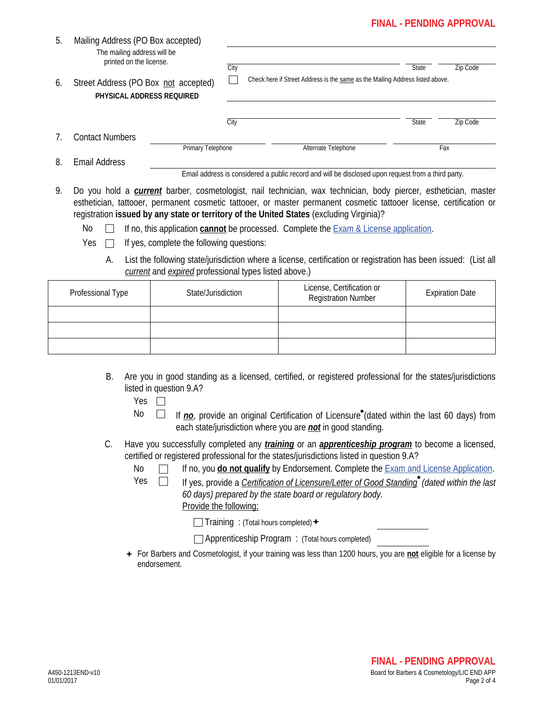## **FINAL - PENDING APPROVAL**

| 5. | Mailing Address (PO Box accepted)<br>The mailing address will be<br>printed on the license. |                   |      |                                                                                                    |              |          |
|----|---------------------------------------------------------------------------------------------|-------------------|------|----------------------------------------------------------------------------------------------------|--------------|----------|
|    |                                                                                             |                   | City |                                                                                                    | <b>State</b> | Zip Code |
| 6. | Street Address (PO Box not accepted)<br>PHYSICAL ADDRESS REQUIRED                           |                   |      | Check here if Street Address is the same as the Mailing Address listed above.                      |              |          |
|    |                                                                                             |                   | City |                                                                                                    | State        | Zip Code |
|    | <b>Contact Numbers</b>                                                                      |                   |      |                                                                                                    |              |          |
|    |                                                                                             | Primary Telephone |      | Alternate Telephone                                                                                |              | Fax      |
| 8. | <b>Email Address</b>                                                                        |                   |      |                                                                                                    |              |          |
|    |                                                                                             |                   |      | Email address is considered a public record and will be disclosed upon request from a third party. |              |          |

9. Do you hold a *current* barber, cosmetologist, nail technician, wax technician, body piercer, esthetician, master esthetician, tattooer, permanent cosmetic tattooer, or master permanent cosmetic tattooer license, certification or registration **issued by any state or territory of the United States** (excluding Virginia)?

No  $\Box$ If no, this application **cannot** be processed. Complete the Exam & License application.

- $Yes \tIf yes, complete the following questions:$ 
	- A. List the following state/jurisdiction where a license, certification or registration has been issued: (List all *current* and *expired* professional types listed above.)

| Professional Type | State/Jurisdiction | License, Certification or<br><b>Registration Number</b> | <b>Expiration Date</b> |
|-------------------|--------------------|---------------------------------------------------------|------------------------|
|                   |                    |                                                         |                        |
|                   |                    |                                                         |                        |
|                   |                    |                                                         |                        |

- B. Are you in good standing as a licensed, certified, or registered professional for the states/jurisdictions listed in question 9.A?
	- Yes  $\Box$
	-
	- No  $\Box$  If *no*, provide an original Certification of Licensure<sup>\*</sup> (dated within the last 60 days) from each state/jurisdiction where you are *not* in good standing.
- C. Have you successfully completed any *training* or an *apprenticeship program* to become a licensed, certified or registered professional for the states/jurisdictions listed in question 9.A?
	- No If no, you **do not qualify** by Endorsement. Complete the Exam and License Application.
	-

Yes □ If yes, provide a *Certification of Licensure/Letter of Good Standing* (dated within the last

*60 days) prepared by the state board or regulatory body.*  Provide the following:

 $\Box$  Training : (Total hours completed)  $\div$ 

Apprenticeship Program : (Total hours completed)

For Barbers and Cosmetologist, if your training was less than 1200 hours, you are **not** eligible for a license by endorsement.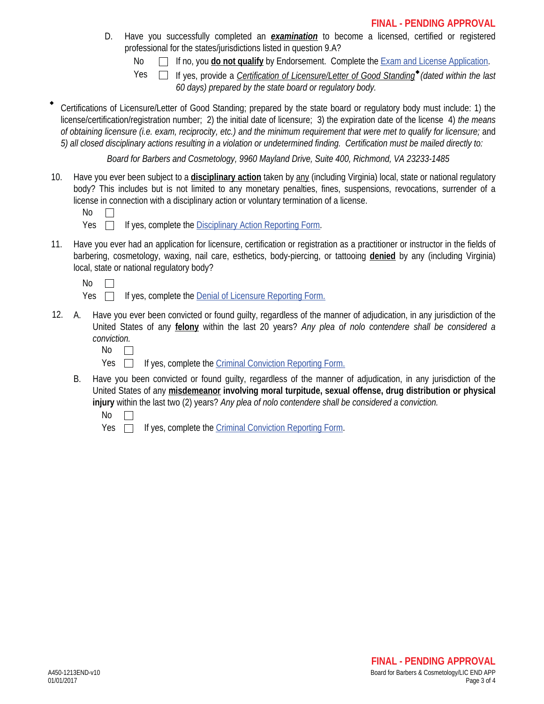- Have you successfully completed an *examination* to become a licensed, certified or registered professional for the states/jurisdictions listed in question 9.A? D.
	- No **If no, you do not qualify** by Endorsement. Complete the **Exam and License Application**.

Yes

If yes, provide a *Certification of Licensure/Letter of Good Standing*<sup>\*</sup> (dated within the last *60 days) prepared by the state board or regulatory body.*

 Certifications of Licensure/Letter of Good Standing; prepared by the state board or regulatory body must include: 1) the license/certification/registration number; 2) the initial date of licensure; 3) the expiration date of the license 4) *the means of obtaining licensure (i.e. exam, reciprocity, etc.) and the minimum requirement that were met to qualify for licensure;* and *5) all closed disciplinary actions resulting in a violation or undetermined finding. Certification must be mailed directly to:*

*Board for Barbers and Cosmetology, 9960 Mayland Drive, Suite 400, Richmond, VA 23233-1485*

10. Have you ever been subject to a **disciplinary action** taken by any (including Virginia) local, state or national regulatory body? This includes but is not limited to any monetary penalties, fines, suspensions, revocations, surrender of a license in connection with a disciplinary action or voluntary termination of a license.

| ٠ |
|---|
|---|

- Yes  $\Box$  If yes, complete the Disciplinary Action Reporting Form.
- 11. Have you ever had an application for licensure, certification or registration as a practitioner or instructor in the fields of barbering, cosmetology, waxing, nail care, esthetics, body-piercing, or tattooing **denied** by any (including Virginia) local, state or national regulatory body?
	- $No$   $\Box$
	- $Yes \Box$  If yes, complete the Denial of Licensure Reporting Form.
- Have you ever been convicted or found quilty, regardless of the manner of adjudication, in any jurisdiction of the United States of any **felony** within the last 20 years? *Any plea of nolo contendere shall be considered a conviction.* 12.

- Yes  $\Box$ If yes, complete the Criminal Conviction Reporting Form.
- B. Have you been convicted or found guilty, regardless of the manner of adjudication, in any jurisdiction of the United States of any **misdemeanor involving moral turpitude, sexual offense, drug distribution or physical injury** within the last two (2) years? *Any plea of nolo contendere shall be considered a conviction.*
	- No  $\Box$

Yes  $\Box$  If yes, complete the Criminal Conviction Reporting Form.